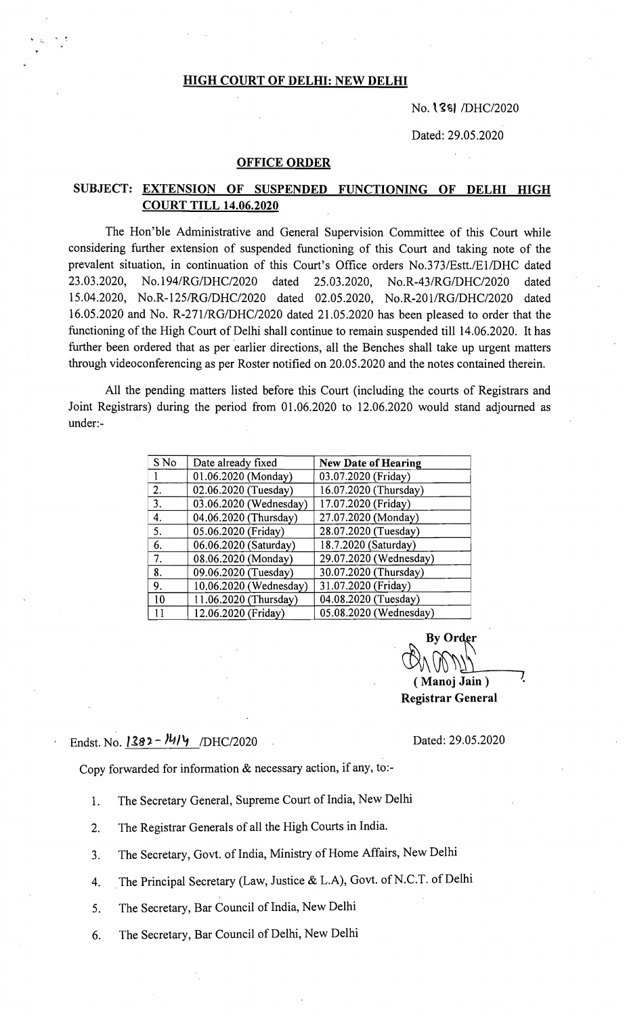### HIGH COURT OF DELHI: NEW DELHI

#### $No.$ **138|** /DHC/2020

Dated: 29.05.2020

#### OFFICE ORDER

## SUBJECT: EXTENSION OF SUSPENDED FUNCTIONING OF DELHI HIGH COURT TILL 14.06.2020

The Hon'ble Administrative and General Supervision Committee of this Court while considering further extension of suspended functioning of this Court and taking note of the prevalent situation, in continuation of this Court's Office orders *No.373/Estt.lE1/DHC* dated 23.03.2020, No. *194/RGIDHC/2020* dated 25.03.2020, *No.R-43/RGIDHC/2020* dated *15.04.2020, No.R-125/RG/DHC/2020* dated 02.05.2020, *NO.R-201/RG/DHC/2020* dated 16.05.2020 and No. *R-2711RG/DHC/2020* dated 21.05.2020 has been pleased to order that the functioning of the High Court of Delhi shall continue to remain suspended till 14.06.2020. It has further been ordered that as per earlier directions, all the Benches shall take up urgent matters through videoconferencing as per Roster notified on 20.05.2020 and the notes contained therein.

All the pending matters listed before this Court (including the courts of Registrars and Joint Registrars) during the period from 01.06.2020 to 12.06.2020 would stand adjourned as under:-

| S No | Date already fixed     | <b>New Date of Hearing</b> |
|------|------------------------|----------------------------|
|      | 01.06.2020 (Monday)    | 03.07.2020 (Friday)        |
| 2.   | 02.06.2020 (Tuesday)   | 16.07.2020 (Thursday)      |
| 3.   | 03.06.2020 (Wednesday) | 17.07.2020 (Friday)        |
| 4.   | 04.06.2020 (Thursday)  | 27.07.2020 (Monday)        |
| 5.   | 05.06.2020 (Friday)    | 28.07.2020 (Tuesday)       |
| 6.   | 06.06.2020 (Saturday)  | 18.7.2020 (Saturday)       |
| 7.   | 08.06.2020 (Monday)    | 29.07.2020 (Wednesday)     |
| 8.   | 09.06.2020 (Tuesday)   | 30.07.2020 (Thursday)      |
| 9.   | 10.06.2020 (Wednesday) | 31.07.2020 (Friday)        |
| 10   | 11.06.2020 (Thursday)  | 04.08.2020 (Tuesday)       |
| 11   | 12.06.2020 (Friday)    | 05.08.2020 (Wednesday)     |

By Order  $V\vee V\vee V\vee V$  $(Manoj Jain)$ Registrar General

# Endst. No.  $1382 - 1414$  /DHC/2020 **Dated: 29.05.2020**

Copy forwarded for information & necessary action, if any, to:

- 1. The Secretary General, Supreme Court of India, New Delhi
- 2. The Registrar Generals of all the High Courts in India.
- 3. The Secretary, Govt. of India, Ministry of Home Affairs, New Delhi
- 4. The Principal Secretary (Law, Justice & L.A), Govt. of N.C.T. of Delhi
- 5. The Secretary, Bar Council of India, New Delhi

6. The Secretary, Bar Council of Delhi, New Delhi